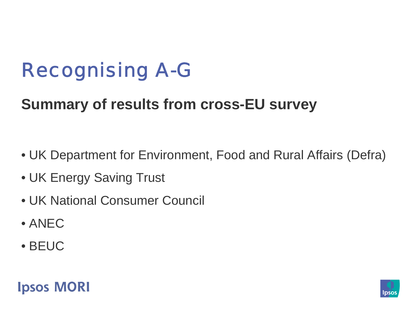# Recognising A-G

### **Summary of results from cross-EU survey**

- UK Department for Environment, Food and Rural Affairs (Defra)
- UK Energy Saving Trust
- UK National Consumer Council
- ANEC
- BEUC



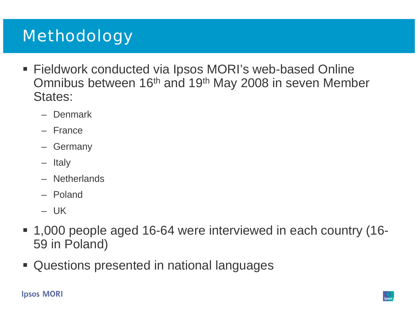## **Methodology**

- Fieldwork conducted via Ipsos MORI's web-based Online Omnibus between 16<sup>th</sup> and 19<sup>th</sup> May 2008 in seven Member States:
	- Denmark
	- France
	- Germany
	- Italy
	- Netherlands
	- Poland
	- UK
- 1,000 people aged 16-64 were interviewed in each country (16- 59 in Poland)
- Questions presented in national languages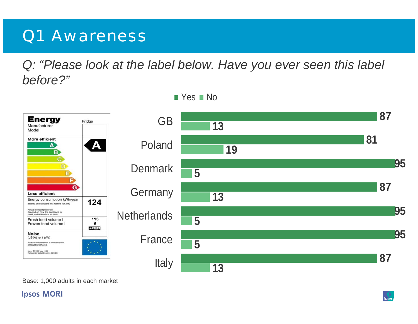### Q1 Awareness

*Q: "Please look at the label below. Have you ever seen this label before?"*



Base: 1,000 adults in each market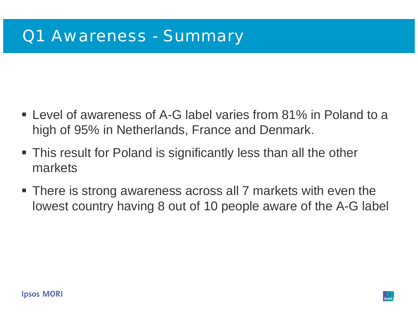- Level of awareness of A-G label varies from 81% in Poland to a high of 95% in Netherlands, France and Denmark.
- **This result for Poland is significantly less than all the other** markets
- There is strong awareness across all 7 markets with even the lowest country having 8 out of 10 people aware of the A-G label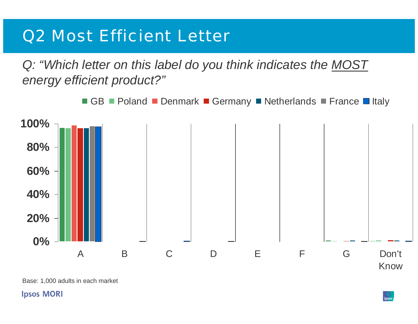### Q2 Most Efficient Letter

*Q: "Which letter on this label do you think indicates the MOST energy efficient product?"*



Base: 1,000 adults in each market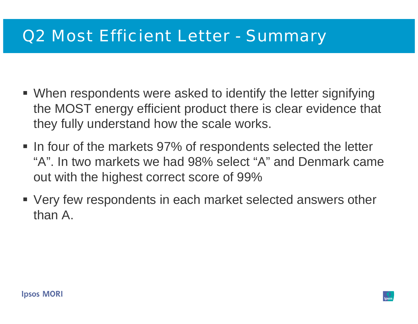### Q2 Most Efficient Letter - Summary

- When respondents were asked to identify the letter signifying the MOST energy efficient product there is clear evidence that they fully understand how the scale works.
- In four of the markets 97% of respondents selected the letter "A". In two markets we had 98% select "A" and Denmark came out with the highest correct score of 99%
- Very few respondents in each market selected answers other than A.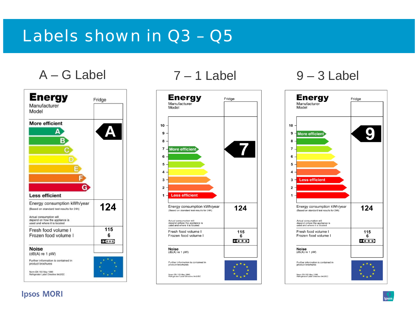### Labels shown in Q3 – Q5

 $A - G$  Label  $7 - 1$  Label  $9 - 3$  Label





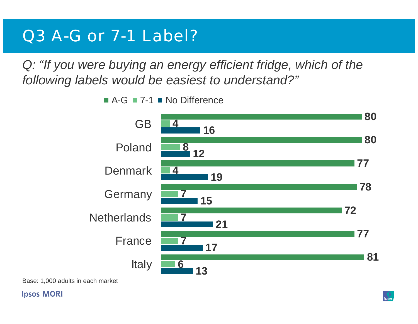### Q3 A-G or 7-1 Label?

*Q: "If you were buying an energy efficient fridge, which of the following labels would be easiest to understand?"*



A-G ■ 7-1 ■ No Difference

Base: 1,000 adults in each market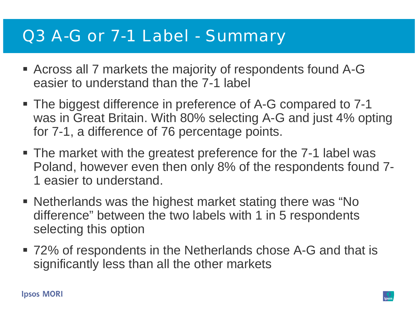### Q3 A-G or 7-1 Label - Summary

- Across all 7 markets the majority of respondents found A-G easier to understand than the 7-1 label
- The biggest difference in preference of A-G compared to 7-1 was in Great Britain. With 80% selecting A-G and just 4% opting for 7-1, a difference of 76 percentage points.
- The market with the greatest preference for the 7-1 label was Poland, however even then only 8% of the respondents found 7- 1 easier to understand.
- **Netherlands was the highest market stating there was "No** difference" between the two labels with 1 in 5 respondents selecting this option
- 72% of respondents in the Netherlands chose A-G and that is significantly less than all the other markets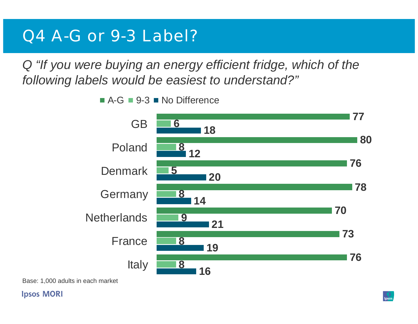### Q4 A-G or 9-3 Label?

*Q "If you were buying an energy efficient fridge, which of the following labels would be easiest to understand?"*

> GB Poland**Denmark** Germany **Netherlands** France Italy

A-G ■ 9-3 ■ No Difference

Base: 1,000 adults in each market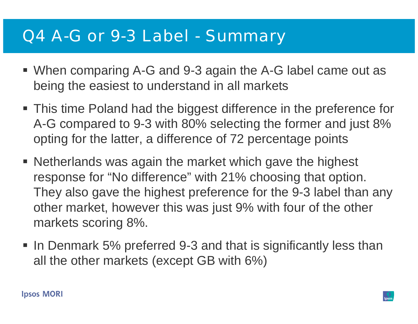### Q4 A-G or 9-3 Label - Summary

- When comparing A-G and 9-3 again the A-G label came out as being the easiest to understand in all markets
- This time Poland had the biggest difference in the preference for A-G compared to 9-3 with 80% selecting the former and just 8% opting for the latter, a difference of 72 percentage points
- **Netherlands was again the market which gave the highest** response for "No difference" with 21% choosing that option. They also gave the highest preference for the 9-3 label than any other market, however this was just 9% with four of the other markets scoring 8%.
- In Denmark 5% preferred 9-3 and that is significantly less than all the other markets (except GB with 6%)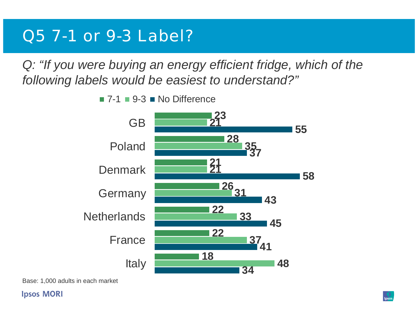### Q5 7-1 or 9-3 Label?

*Q: "If you were buying an energy efficient fridge, which of the following labels would be easiest to understand?"*



7-1 ■ 9-3 ■ No Difference

Base: 1,000 adults in each market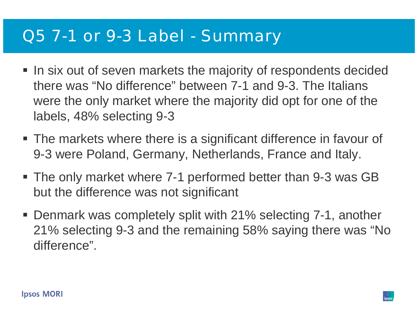### Q5 7-1 or 9-3 Label - Summary

- In six out of seven markets the majority of respondents decided there was "No difference" between 7-1 and 9-3. The Italians were the only market where the majority did opt for one of the labels, 48% selecting 9-3
- The markets where there is a significant difference in favour of 9-3 were Poland, Germany, Netherlands, France and Italy.
- The only market where 7-1 performed better than 9-3 was GB but the difference was not significant
- Denmark was completely split with 21% selecting 7-1, another 21% selecting 9-3 and the remaining 58% saying there was "No difference".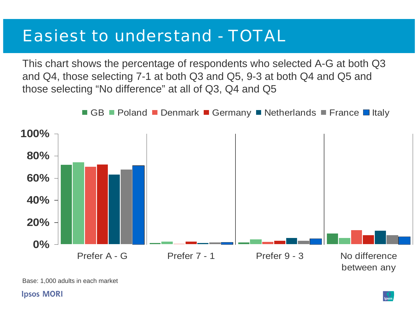### Easiest to understand - TOTAL

This chart shows the percentage of respondents who selected A-G at both Q3 and Q4, those selecting 7-1 at both Q3 and Q5, 9-3 at both Q4 and Q5 and those selecting "No difference" at all of Q3, Q4 and Q5



Base: 1,000 adults in each market